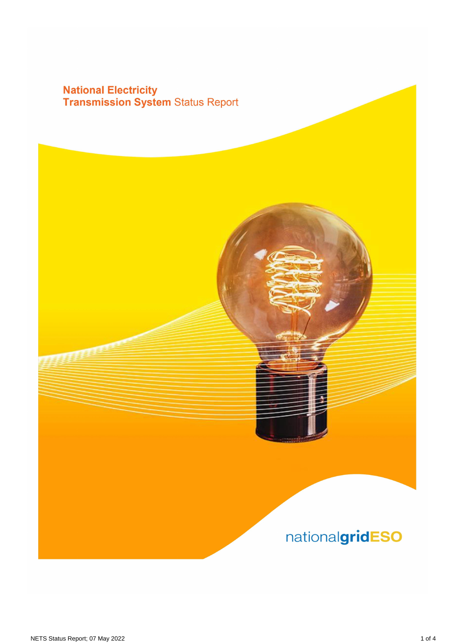## **National Electricity<br>Transmission System Status Report**

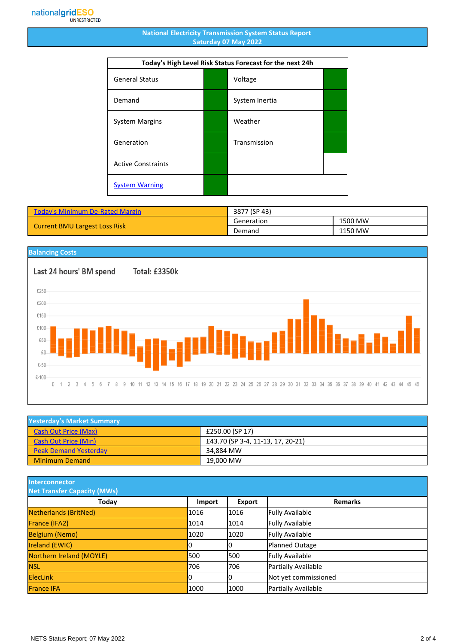## **National Electricity Transmission System Status Report Saturday 07 May 2022**

| Today's High Level Risk Status Forecast for the next 24h |  |                |  |
|----------------------------------------------------------|--|----------------|--|
| <b>General Status</b>                                    |  | Voltage        |  |
| Demand                                                   |  | System Inertia |  |
| <b>System Margins</b>                                    |  | Weather        |  |
| Generation                                               |  | Transmission   |  |
| <b>Active Constraints</b>                                |  |                |  |
| <b>System Warning</b>                                    |  |                |  |

| <b>Today's Minimum De-Rated Margin</b> | 3877 (SP 43) |         |
|----------------------------------------|--------------|---------|
| <b>Current BMU Largest Loss Risk</b>   | Generation   | 1500 MW |
|                                        | Demand       | 1150 MW |



| <b>Yesterday's Market Summary</b> |                                   |  |
|-----------------------------------|-----------------------------------|--|
| <b>Cash Out Price (Max)</b>       | £250.00 (SP 17)                   |  |
| <b>Cash Out Price (Min)</b>       | £43.70 (SP 3-4, 11-13, 17, 20-21) |  |
| <b>Peak Demand Yesterday</b>      | 34.884 MW                         |  |
| <b>Minimum Demand</b>             | 19,000 MW                         |  |

**Interconnector**

| <b>Net Transfer Capacity (MWs)</b> |               |        |                        |
|------------------------------------|---------------|--------|------------------------|
| Today                              | <b>Import</b> | Export | <b>Remarks</b>         |
| Netherlands (BritNed)              | 1016          | 1016   | <b>Fully Available</b> |
| France (IFA2)                      | 1014          | 1014   | <b>Fully Available</b> |
| <b>Belgium (Nemo)</b>              | 1020          | 1020   | <b>Fully Available</b> |
| <b>Ireland (EWIC)</b>              |               |        | Planned Outage         |
| Northern Ireland (MOYLE)           | 500           | 1500   | <b>Fully Available</b> |
| <b>NSL</b>                         | 706           | 706    | Partially Available    |
| <b>ElecLink</b>                    | 10            |        | Not yet commissioned   |
| <b>France IFA</b>                  | 1000          | 1000   | Partially Available    |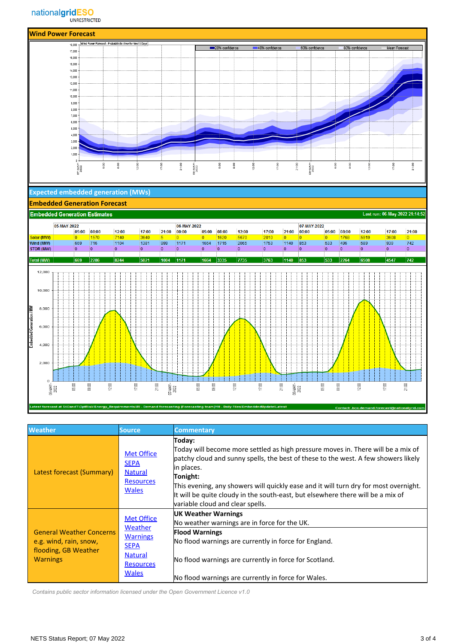

| <b>Weather</b>                                                                                       | Source.                                                                                              | <b>Commentary</b>                                                                                                                                                                                                                                                                                                                                                                                                          |
|------------------------------------------------------------------------------------------------------|------------------------------------------------------------------------------------------------------|----------------------------------------------------------------------------------------------------------------------------------------------------------------------------------------------------------------------------------------------------------------------------------------------------------------------------------------------------------------------------------------------------------------------------|
| Latest forecast (Summary)                                                                            | <b>Met Office</b><br><b>SEPA</b><br><b>Natural</b><br><b>Resources</b><br><b>Wales</b>               | Today:<br>Today will become more settled as high pressure moves in. There will be a mix of<br>patchy cloud and sunny spells, the best of these to the west. A few showers likely<br>lin places.<br>Tonight:<br>This evening, any showers will quickly ease and it will turn dry for most overnight.<br>It will be quite cloudy in the south-east, but elsewhere there will be a mix of<br>variable cloud and clear spells. |
| <b>General Weather Concerns</b><br>e.g. wind, rain, snow,<br>flooding, GB Weather<br><b>Warnings</b> | <b>Met Office</b><br>Weather<br><b>Warnings</b><br><b>SEPA</b><br><b>Natural</b><br><b>Resources</b> | UK Weather Warnings<br>No weather warnings are in force for the UK.                                                                                                                                                                                                                                                                                                                                                        |
|                                                                                                      |                                                                                                      | <b>Flood Warnings</b>                                                                                                                                                                                                                                                                                                                                                                                                      |
|                                                                                                      |                                                                                                      | No flood warnings are currently in force for England.                                                                                                                                                                                                                                                                                                                                                                      |
|                                                                                                      |                                                                                                      | No flood warnings are currently in force for Scotland.                                                                                                                                                                                                                                                                                                                                                                     |
|                                                                                                      | <b>Wales</b>                                                                                         | No flood warnings are currently in force for Wales.                                                                                                                                                                                                                                                                                                                                                                        |

ng (Forecasting team)\10 - Daily Files\Emi

 *Contains public sector information licensed under the Open Government Licence v1.0*

atest forecast at S:\OandT\C\_

act: .box.dem